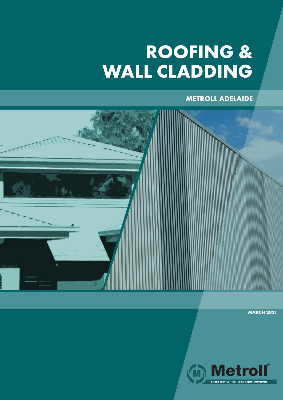## **ROOFING & WALL CLADDING**

**METROLL ADELAIDE**



**MARCH 2021**

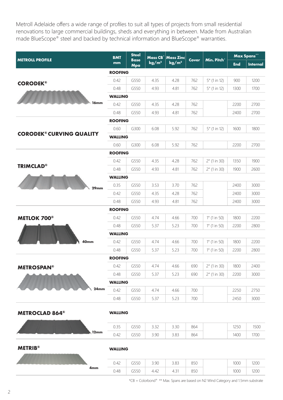Metroll Adelaide offers a wide range of profiles to suit all types of projects from small residential renovations to large commercial buildings, sheds and everything in between. Made from Australian made BlueScope® steel and backed by technical information and BlueScope® warranties.

| <b>METROLL PROFILE</b>           | <b>BMT</b><br>mm | <b>Steel</b><br><b>Base</b><br>Mpa | Mass CB'<br>kg/m <sup>2</sup> | <b>Mass Zinc</b><br>kg/m <sup>2</sup> | Cover | Min. Pitch°           | Max Spans** |                 |  |  |
|----------------------------------|------------------|------------------------------------|-------------------------------|---------------------------------------|-------|-----------------------|-------------|-----------------|--|--|
|                                  |                  |                                    |                               |                                       |       |                       | <b>End</b>  | <b>Internal</b> |  |  |
|                                  | <b>ROOFING</b>   |                                    |                               |                                       |       |                       |             |                 |  |  |
| <b>CORODEK®</b><br>16mm          | 0.42             | G550                               | 4.35                          | 4.28                                  | 762   | $5^{\circ}$ (1 in 12) | 900         | 1200            |  |  |
|                                  | 0.48             | G550                               | 4.93                          | 4.81                                  | 762   | $5^{\circ}$ (1 in 12) | 1300        | 1700            |  |  |
|                                  | <b>WALLING</b>   |                                    |                               |                                       |       |                       |             |                 |  |  |
|                                  | 0.42             | G550                               | 4.35                          | 4.28                                  | 762   |                       | 2200        | 2700            |  |  |
|                                  | 0.48             | G550                               | 4.93                          | 4.81                                  | 762   |                       | 2400        | 2700            |  |  |
| <b>CORODEK® CURVING QUALITY</b>  | <b>ROOFING</b>   |                                    |                               |                                       |       |                       |             |                 |  |  |
|                                  | 0.60             | G300                               | 6.08                          | 5.92                                  | 762   | $5^{\circ}$ (1 in 12) | 1600        | 1800            |  |  |
|                                  | <b>WALLING</b>   |                                    |                               |                                       |       |                       |             |                 |  |  |
|                                  | 0.60             | G300                               | 6.08                          | 5.92                                  | 762   |                       | 2200        | 2700            |  |  |
| <b>TRIMCLAD®</b><br>29mm         | <b>ROOFING</b>   |                                    |                               |                                       |       |                       |             |                 |  |  |
|                                  | 0.42             | G550                               | 4.35                          | 4.28                                  | 762   | $2^{\circ}$ (1 in 30) | 1350        | 1900            |  |  |
|                                  | 0.48             | G550                               | 4.93                          | 4.81                                  | 762   | $2^{\circ}$ (1 in 30) | 1900        | 2600            |  |  |
|                                  | <b>WALLING</b>   |                                    |                               |                                       |       |                       |             |                 |  |  |
|                                  | 0.35             | G550                               | 3.53                          | 3.70                                  | 762   |                       | 2400        | 3000            |  |  |
|                                  | 0.42             | G550                               | 4.35                          | 4.28                                  | 762   |                       | 2400        | 3000            |  |  |
|                                  | 0.48             | G550                               | 4.93                          | 4.81                                  | 762   |                       | 2400        | 3000            |  |  |
|                                  | <b>ROOFING</b>   |                                    |                               |                                       |       |                       |             |                 |  |  |
| <b>METLOK 700®</b>               | 0.42             | G550                               | 4.74                          | 4.66                                  | 700   | $1^{\circ}$ (1 in 50) | 1800        | 2200            |  |  |
|                                  | 0.48             | G550                               | 5.37                          | 5.23                                  | 700   | $1^{\circ}$ (1 in 50) | 2200        | 2800            |  |  |
|                                  | <b>WALLING</b>   |                                    |                               |                                       |       |                       |             |                 |  |  |
| 40mm                             | 0.42             | G550                               | 4.74                          | 4.66                                  | 700   | $1^{\circ}$ (1 in 50) | 1800        | 2200            |  |  |
|                                  | 0.48             | G550                               | 5.37                          | 5.23                                  | 700   | $1^{\circ}$ (1 in 50) | 2200        | 2800            |  |  |
|                                  | <b>ROOFING</b>   |                                    |                               |                                       |       |                       |             |                 |  |  |
| <b>METROSPAN®</b><br>24mm        | 0.42             | G550                               | 4.74                          | 4.66                                  | 690   | $2^{\circ}$ (1 in 30) | 1800        | 2400            |  |  |
|                                  | 0.48             | G550                               | 5.37                          | 5.23                                  | 690   | $2^{\circ}$ (1 in 30) | 2200        | 3000            |  |  |
|                                  | <b>WALLING</b>   |                                    |                               |                                       |       |                       |             |                 |  |  |
|                                  | 0.42             | G550                               | 4.74                          | 4.66                                  | 700   |                       | 2250        | 2750            |  |  |
|                                  | 0.48             | G550                               | 5.37                          | 5.23                                  | 700   |                       | 2450        | 3000            |  |  |
|                                  |                  |                                    |                               |                                       |       |                       |             |                 |  |  |
| <b>METROCLAD 864<sup>®</sup></b> | <b>WALLING</b>   |                                    |                               |                                       |       |                       |             |                 |  |  |
|                                  |                  |                                    |                               |                                       |       |                       |             |                 |  |  |

0.35 | G550 | 3.32 | 3.30 | 864 | | | | 1250 | 1500 0.42 | G550 | 3.90 | 3.83 | 864 | | 1400 | 1700 **12mm**

**METRIB®**

**WALLING**

| 4mm | 0.42 | $----$<br>טעי  | 3.90 | 3.83          | 850 | 1000 | 1200 |
|-----|------|----------------|------|---------------|-----|------|------|
|     | 0.48 | $----$<br>コフンマ | 4.42 | $\sim$<br>т.∠ | 850 | 1000 | 1200 |
|     |      |                |      |               |     |      |      |

\*CB = Colorbond® \*\* Max. Spans are based on N2 Wind Category and 1.5mm substrate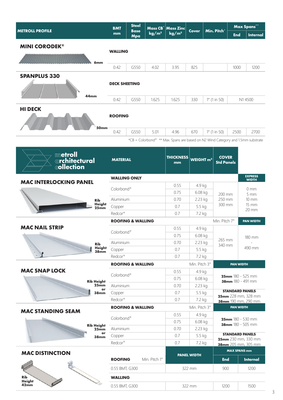|                                                 | <b>Steel</b><br><b>BMT</b>                        |                              | Mass CB <sup>*</sup> | <b>Mass Zinc</b>                                                                 |                         | Min. Pitch°            |                                            | <b>Max Spans**</b>  |                                |  |
|-------------------------------------------------|---------------------------------------------------|------------------------------|----------------------|----------------------------------------------------------------------------------|-------------------------|------------------------|--------------------------------------------|---------------------|--------------------------------|--|
| <b>METROLL PROFILE</b>                          | mm                                                | <b>Base</b><br>Mpa           | kg/m <sup>2</sup>    | kg/m <sup>2</sup>                                                                | <b>Cover</b>            |                        |                                            | <b>End</b>          | <b>Internal</b>                |  |
| <b>MINI CORODEK®</b>                            |                                                   |                              |                      |                                                                                  |                         |                        |                                            |                     |                                |  |
|                                                 | <b>WALLING</b>                                    |                              |                      |                                                                                  |                         |                        |                                            |                     |                                |  |
| 6mm                                             |                                                   |                              |                      |                                                                                  |                         |                        |                                            |                     |                                |  |
|                                                 | 0.42                                              | G550                         | 4.02                 | 3.95                                                                             | 825                     |                        |                                            | 1000                | 1200                           |  |
| <b>SPANPLUS 330</b>                             |                                                   |                              |                      |                                                                                  |                         |                        |                                            |                     |                                |  |
|                                                 | <b>DECK SHEETING</b>                              |                              |                      |                                                                                  |                         |                        |                                            |                     |                                |  |
| 44mm                                            | 0.42                                              | G550                         | 1.625                | 1.625                                                                            | 330                     | $1^{\circ}$ (1 in 50)  |                                            |                     | N14500                         |  |
|                                                 |                                                   |                              |                      |                                                                                  |                         |                        |                                            |                     |                                |  |
| <b>HI DECK</b>                                  | <b>ROOFING</b>                                    |                              |                      |                                                                                  |                         |                        |                                            |                     |                                |  |
|                                                 |                                                   |                              |                      |                                                                                  |                         |                        |                                            |                     |                                |  |
| 50mm                                            | 0.42                                              | G550                         | 5.01                 | 4.96                                                                             | 670                     | $1^{\circ}$ (1 in 50)  |                                            | 2500                | 2700                           |  |
|                                                 |                                                   |                              |                      | *CB = Colorbond® ** Max. Spans are based on N2 Wind Category and 1.5mm substrate |                         |                        |                                            |                     |                                |  |
|                                                 |                                                   |                              |                      |                                                                                  |                         |                        |                                            |                     |                                |  |
| <b>metroll</b><br>@ <b>rchitectural</b>         |                                                   |                              |                      | <b>THICKNESS</b>                                                                 |                         |                        | <b>COVER</b>                               |                     |                                |  |
|                                                 | <b>MATERIAL</b>                                   |                              |                      | mm                                                                               | WEIGHT m <sup>2</sup>   |                        | <b>Std Panels</b>                          |                     |                                |  |
| <b>collection</b>                               |                                                   |                              |                      |                                                                                  |                         |                        |                                            |                     |                                |  |
| <b>MAC INTERLOCKING PANEL</b>                   |                                                   | <b>WALLING ONLY</b>          |                      |                                                                                  |                         |                        |                                            |                     | <b>EXPRESS</b><br><b>WIDTH</b> |  |
|                                                 | Colorbond®                                        |                              | 0.55                 |                                                                                  | 4.9 kg                  |                        |                                            |                     | 0 <sub>mm</sub>                |  |
|                                                 |                                                   |                              |                      | 0.75                                                                             | 6.08 kg                 |                        | 200 mm                                     |                     | 5 <sub>mm</sub>                |  |
| <b>Rib</b><br><b>Height</b><br>25 <sub>mm</sub> | Aluminium<br>Copper                               |                              |                      | 0.70<br>0.7                                                                      | 2.23 kg                 |                        | 250 mm<br>300 mm                           |                     | 10 mm<br>15 mm                 |  |
|                                                 | Redcor <sup>®</sup>                               |                              |                      | 0.7                                                                              | 5.5 kg<br>7.2 kg        |                        |                                            |                     | 20 mm                          |  |
|                                                 | <b>ROOFING &amp; WALLING</b>                      |                              |                      |                                                                                  |                         |                        | Min. Pitch 7°                              |                     | <b>PAN WIDTH</b>               |  |
| <b>MAC NAIL STRIP</b>                           |                                                   |                              |                      | 0.55                                                                             | 4.9 kg                  |                        |                                            |                     |                                |  |
|                                                 | Colorbond®<br>Aluminium                           |                              |                      | 0.75                                                                             | 6.08 kg                 |                        |                                            |                     | 180 mm                         |  |
| <b>Rib</b>                                      |                                                   |                              |                      | 0.70                                                                             | 2.23 kg                 |                        | 265 mm<br>340 mm                           |                     |                                |  |
| Height<br>38mm                                  | Copper                                            |                              |                      | 0.7                                                                              | 5.5 kg                  |                        |                                            |                     | 490 mm                         |  |
|                                                 | Redcor®                                           |                              |                      | 0.7                                                                              | 7.2 kg<br>Min. Pitch 3° |                        |                                            |                     |                                |  |
| <b>MAC SNAP LOCK</b>                            |                                                   | <b>ROOFING &amp; WALLING</b> |                      |                                                                                  |                         |                        |                                            |                     | <b>PAN WIDTH</b>               |  |
|                                                 | Colorbond®                                        |                              | 0.55<br>0.75         | 4.9 kg<br>6.08 kg                                                                |                         |                        | $25mm$ 180 - 525 mm                        |                     |                                |  |
| <b>Rib Height</b><br>25mm                       | Aluminium                                         |                              | 0.70                 | 2.23 kg                                                                          |                         |                        | 38mm 180 - 491 mm                          |                     |                                |  |
| or<br><b>38mm</b>                               | Copper                                            |                              | 0.7                  | 5.5 kg                                                                           |                         | <b>STANDARD PANELS</b> |                                            |                     |                                |  |
|                                                 | Redcor <sup>®</sup>                               |                              |                      | 0.7                                                                              | 7.2 kg                  |                        | 25mm 228 mm, 328 mm<br>38mm 190 mm, 290 mm |                     |                                |  |
| <b>MAC STANDING SEAM</b>                        |                                                   | <b>ROOFING &amp; WALLING</b> |                      |                                                                                  | Min. Pitch 3°           |                        |                                            | <b>PAN WIDTH</b>    |                                |  |
|                                                 |                                                   | Colorbond®                   |                      | 0.55                                                                             | 4.9 kg                  |                        | $25mm$ 180 - 530 mm                        |                     |                                |  |
| <b>Rib Height</b>                               |                                                   |                              | 0.75                 | 6.08 kg                                                                          |                         | 38mm 180 - 505 mm      |                                            |                     |                                |  |
| 25mm<br>or                                      | Aluminium                                         |                              |                      | 0.70<br>0.7                                                                      | 2.23 kg<br>5.5 kg       |                        |                                            |                     | <b>STANDARD PANELS</b>         |  |
| 38 <sub>mm</sub>                                | Copper<br>Redcor®                                 |                              |                      | 0.7                                                                              | 7.2 kg                  |                        |                                            | 25mm 230 mm, 330 mm |                                |  |
|                                                 |                                                   |                              |                      |                                                                                  |                         |                        |                                            | <b>MAX SPANS mm</b> | 38mm 205 mm, 305 mm            |  |
| <b>MAC DISTINCTION</b>                          | Min. Pitch 1°<br><b>ROOFING</b><br>0.55 BMT, G300 |                              |                      | <b>PANEL WIDTH</b>                                                               |                         | <b>End</b>             |                                            |                     | <b>Internal</b>                |  |
|                                                 |                                                   |                              | 322 mm               |                                                                                  |                         | 900                    |                                            | 1200                |                                |  |
|                                                 |                                                   |                              |                      |                                                                                  |                         |                        |                                            |                     |                                |  |
| <b>Rib</b><br><b>Height</b><br>42 <sub>mm</sub> | <b>WALLING</b>                                    |                              |                      |                                                                                  |                         |                        |                                            |                     |                                |  |
|                                                 | 0.55 BMT, G300                                    |                              |                      | 322 mm                                                                           |                         |                        | 1200                                       |                     | 1500                           |  |